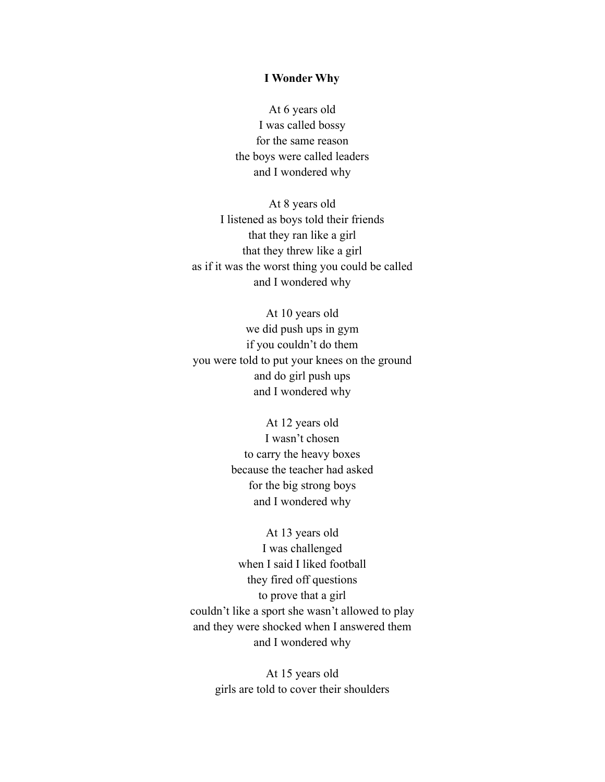## **I Wonder Why**

At 6 years old I was called bossy for the same reason the boys were called leaders and I wondered why

At 8 years old I listened as boys told their friends that they ran like a girl that they threw like a girl as if it was the worst thing you could be called and I wondered why

At 10 years old we did push ups in gym if you couldn't do them you were told to put your knees on the ground and do girl push ups and I wondered why

> At 12 years old I wasn't chosen to carry the heavy boxes because the teacher had asked for the big strong boys and I wondered why

At 13 years old I was challenged when I said I liked football they fired off questions to prove that a girl couldn't like a sport she wasn't allowed to play and they were shocked when I answered them and I wondered why

> At 15 years old girls are told to cover their shoulders